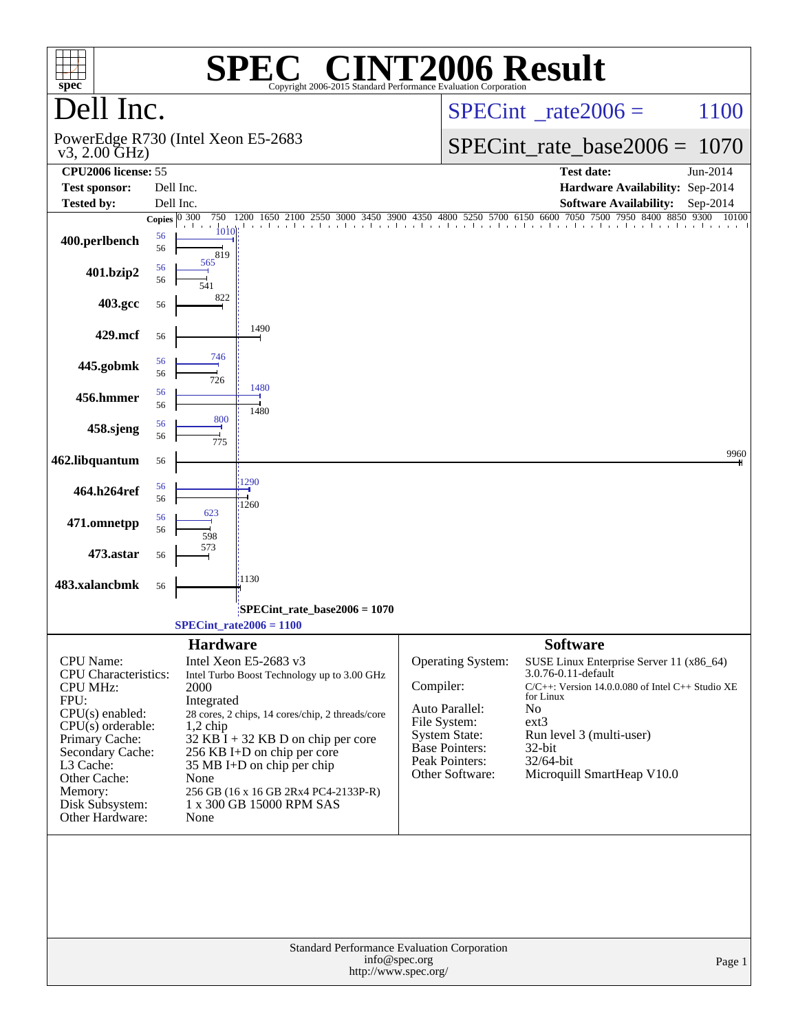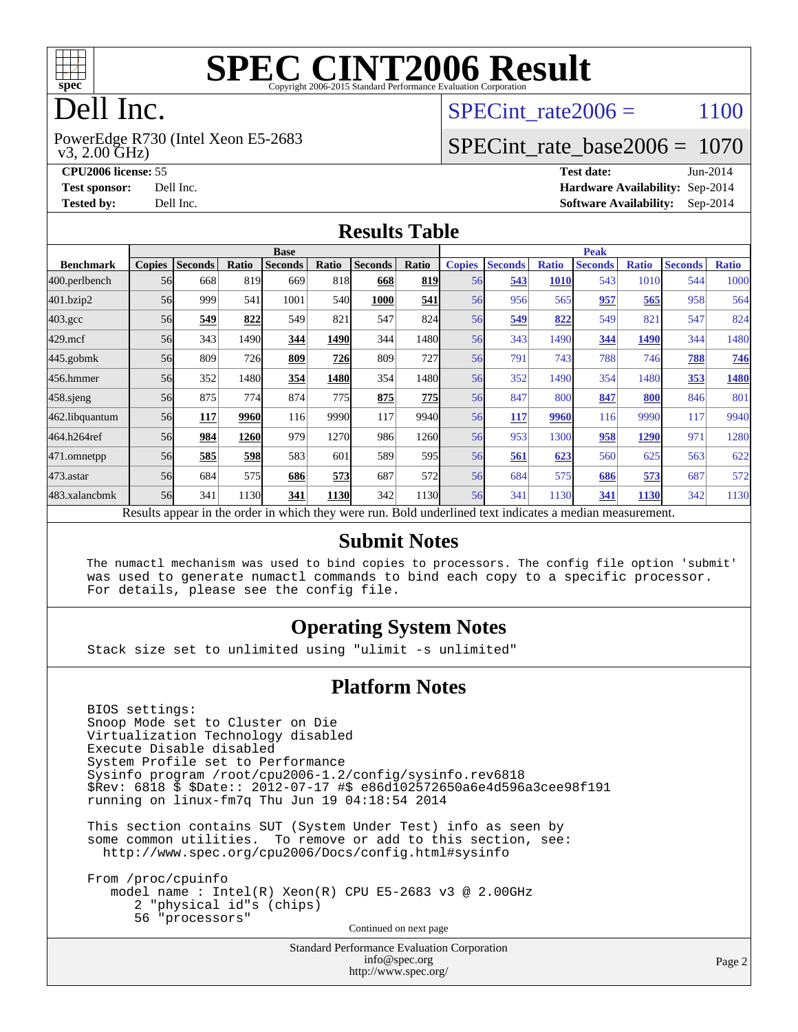

# **[SPEC CINT2006 Result](http://www.spec.org/auto/cpu2006/Docs/result-fields.html#SPECCINT2006Result)**

# Dell Inc.

 v3, 2.00 GHz) PowerEdge R730 (Intel Xeon E5-2683 SPECint rate  $2006 = 1100$ 

#### [SPECint\\_rate\\_base2006 =](http://www.spec.org/auto/cpu2006/Docs/result-fields.html#SPECintratebase2006) 1070

**[CPU2006 license:](http://www.spec.org/auto/cpu2006/Docs/result-fields.html#CPU2006license)** 55 **[Test date:](http://www.spec.org/auto/cpu2006/Docs/result-fields.html#Testdate)** Jun-2014 **[Test sponsor:](http://www.spec.org/auto/cpu2006/Docs/result-fields.html#Testsponsor)** Dell Inc. **[Hardware Availability:](http://www.spec.org/auto/cpu2006/Docs/result-fields.html#HardwareAvailability)** Sep-2014 **[Tested by:](http://www.spec.org/auto/cpu2006/Docs/result-fields.html#Testedby)** Dell Inc. **[Software Availability:](http://www.spec.org/auto/cpu2006/Docs/result-fields.html#SoftwareAvailability)** Sep-2014

#### **[Results Table](http://www.spec.org/auto/cpu2006/Docs/result-fields.html#ResultsTable)**

|                    | <b>Base</b>   |                |       |                                                                                                          |       |                |       | <b>Peak</b>   |                |              |                |              |                |              |
|--------------------|---------------|----------------|-------|----------------------------------------------------------------------------------------------------------|-------|----------------|-------|---------------|----------------|--------------|----------------|--------------|----------------|--------------|
| <b>Benchmark</b>   | <b>Copies</b> | <b>Seconds</b> | Ratio | <b>Seconds</b>                                                                                           | Ratio | <b>Seconds</b> | Ratio | <b>Copies</b> | <b>Seconds</b> | <b>Ratio</b> | <b>Seconds</b> | <b>Ratio</b> | <b>Seconds</b> | <b>Ratio</b> |
| 400.perlbench      | 56            | 668            | 819   | 669                                                                                                      | 818   | 668            | 819   | 56            | 543            | <b>1010</b>  | 543            | 1010         | 544            | 1000         |
| 401.bzip2          | 56            | 999            | 541   | 1001                                                                                                     | 540   | 1000           | 541   | 56            | 956            | 565          | 957            | 565          | 958            | 564          |
| $403.\mathrm{gcc}$ | 56            | 549            | 822   | 549                                                                                                      | 821   | 547            | 824   | 56            | 549            | 822          | 549            | 82           | 547            | 824          |
| $429$ .mcf         | 56            | 343            | 1490  | 344                                                                                                      | 1490  | 344            | 1480l | 56            | 343            | 1490         | 344            | 1490         | 344            | 1480         |
| $445$ .gobmk       | 56            | 809            | 726   | 809                                                                                                      | 726   | 809            | 727   | 56            | 791            | 743          | 788            | 746          | 788            | 746          |
| 456.hmmer          | 56            | 352            | 1480  | 354                                                                                                      | 1480  | 354            | 1480  | 56            | 352            | 1490         | 354            | 1480         | 353            | 1480         |
| $458$ .sjeng       | 56            | 875            | 774   | 874                                                                                                      | 775   | 875            | 775   | 56            | 847            | 800          | 847            | 800          | 846            | 801          |
| 462.libquantum     | 56            | 117            | 9960  | 116                                                                                                      | 9990  | 117            | 9940l | 56            | <b>117</b>     | 9960         | 116            | 9990         | 117            | 9940         |
| 464.h264ref        | 56            | 984            | 1260  | 979                                                                                                      | 1270  | 986            | 1260  | 56            | 953            | 1300         | 958            | 1290         | 971            | 1280         |
| 471.omnetpp        | 56            | 585            | 598   | 583                                                                                                      | 601   | 589            | 595   | 56            | 561            | 623          | 560            | 625          | 563            | 622          |
| $473$ . astar      | 56            | 684            | 575   | 686                                                                                                      | 573   | 687            | 572   | 56            | 684            | 575          | 686            | 573          | 687            | 572          |
| 483.xalancbmk      | 56            | 341            | 1130  | 341                                                                                                      | 1130  | 342            | 1130  | 56            | 341            | 1130         | 341            | 1130         | 342            | 1130         |
|                    |               |                |       | Results appear in the order in which they were run. Bold underlined text indicates a median measurement. |       |                |       |               |                |              |                |              |                |              |

#### **[Submit Notes](http://www.spec.org/auto/cpu2006/Docs/result-fields.html#SubmitNotes)**

 The numactl mechanism was used to bind copies to processors. The config file option 'submit' was used to generate numactl commands to bind each copy to a specific processor. For details, please see the config file.

#### **[Operating System Notes](http://www.spec.org/auto/cpu2006/Docs/result-fields.html#OperatingSystemNotes)**

Stack size set to unlimited using "ulimit -s unlimited"

#### **[Platform Notes](http://www.spec.org/auto/cpu2006/Docs/result-fields.html#PlatformNotes)**

 BIOS settings: Snoop Mode set to Cluster on Die Virtualization Technology disabled Execute Disable disabled System Profile set to Performance Sysinfo program /root/cpu2006-1.2/config/sysinfo.rev6818 \$Rev: 6818 \$ \$Date:: 2012-07-17 #\$ e86d102572650a6e4d596a3cee98f191 running on linux-fm7q Thu Jun 19 04:18:54 2014

 This section contains SUT (System Under Test) info as seen by some common utilities. To remove or add to this section, see: <http://www.spec.org/cpu2006/Docs/config.html#sysinfo>

 From /proc/cpuinfo model name : Intel(R) Xeon(R) CPU E5-2683 v3 @ 2.00GHz 2 "physical id"s (chips) 56 "processors" Continued on next page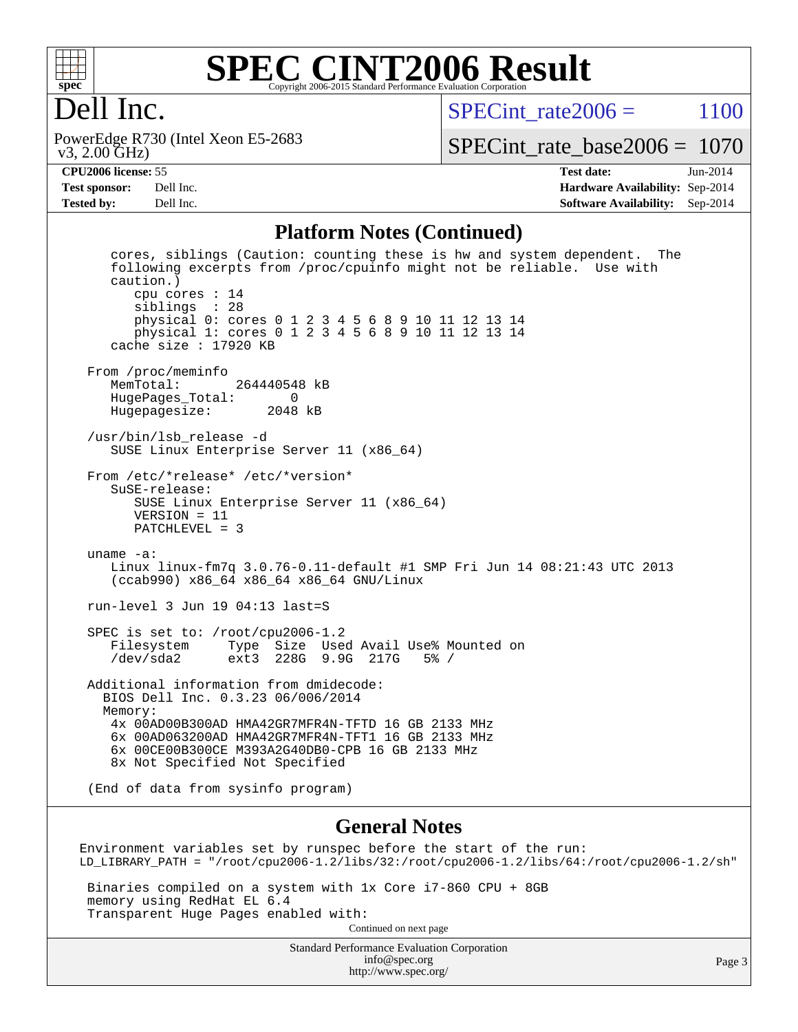

#### **[SPEC CINT2006 Result](http://www.spec.org/auto/cpu2006/Docs/result-fields.html#SPECCINT2006Result)** Copyright 2006-2015 Standard Performance Evaluation Corporation

# Dell Inc.

 v3, 2.00 GHz) PowerEdge R730 (Intel Xeon E5-2683 SPECint rate  $2006 = 1100$ 

[SPECint\\_rate\\_base2006 =](http://www.spec.org/auto/cpu2006/Docs/result-fields.html#SPECintratebase2006) 1070

**[CPU2006 license:](http://www.spec.org/auto/cpu2006/Docs/result-fields.html#CPU2006license)** 55 **[Test date:](http://www.spec.org/auto/cpu2006/Docs/result-fields.html#Testdate)** Jun-2014 **[Test sponsor:](http://www.spec.org/auto/cpu2006/Docs/result-fields.html#Testsponsor)** Dell Inc. **[Hardware Availability:](http://www.spec.org/auto/cpu2006/Docs/result-fields.html#HardwareAvailability)** Sep-2014 **[Tested by:](http://www.spec.org/auto/cpu2006/Docs/result-fields.html#Testedby)** Dell Inc. **[Software Availability:](http://www.spec.org/auto/cpu2006/Docs/result-fields.html#SoftwareAvailability)** Sep-2014

#### **[Platform Notes \(Continued\)](http://www.spec.org/auto/cpu2006/Docs/result-fields.html#PlatformNotes)**

 cores, siblings (Caution: counting these is hw and system dependent. The following excerpts from /proc/cpuinfo might not be reliable. Use with caution.) cpu cores : 14 siblings : 28 physical 0: cores 0 1 2 3 4 5 6 8 9 10 11 12 13 14 physical 1: cores 0 1 2 3 4 5 6 8 9 10 11 12 13 14 cache size : 17920 KB From /proc/meminfo<br>MemTotal: 264440548 kB HugePages\_Total: 0 Hugepagesize: 2048 kB /usr/bin/lsb\_release -d SUSE Linux Enterprise Server 11 (x86\_64) From /etc/\*release\* /etc/\*version\* SuSE-release: SUSE Linux Enterprise Server 11 (x86\_64) VERSION = 11 PATCHLEVEL = 3 uname -a: Linux linux-fm7q 3.0.76-0.11-default #1 SMP Fri Jun 14 08:21:43 UTC 2013 (ccab990) x86\_64 x86\_64 x86\_64 GNU/Linux run-level 3 Jun 19 04:13 last=S SPEC is set to: /root/cpu2006-1.2 Filesystem Type Size Used Avail Use% Mounted on /dev/sda2 ext3 228G 9.9G 217G 5% / Additional information from dmidecode: BIOS Dell Inc. 0.3.23 06/006/2014 Memory: 4x 00AD00B300AD HMA42GR7MFR4N-TFTD 16 GB 2133 MHz 6x 00AD063200AD HMA42GR7MFR4N-TFT1 16 GB 2133 MHz 6x 00CE00B300CE M393A2G40DB0-CPB 16 GB 2133 MHz 8x Not Specified Not Specified (End of data from sysinfo program)

#### **[General Notes](http://www.spec.org/auto/cpu2006/Docs/result-fields.html#GeneralNotes)**

Environment variables set by runspec before the start of the run: LD\_LIBRARY\_PATH = "/root/cpu2006-1.2/libs/32:/root/cpu2006-1.2/libs/64:/root/cpu2006-1.2/sh"

 Binaries compiled on a system with 1x Core i7-860 CPU + 8GB memory using RedHat EL 6.4 Transparent Huge Pages enabled with: Continued on next page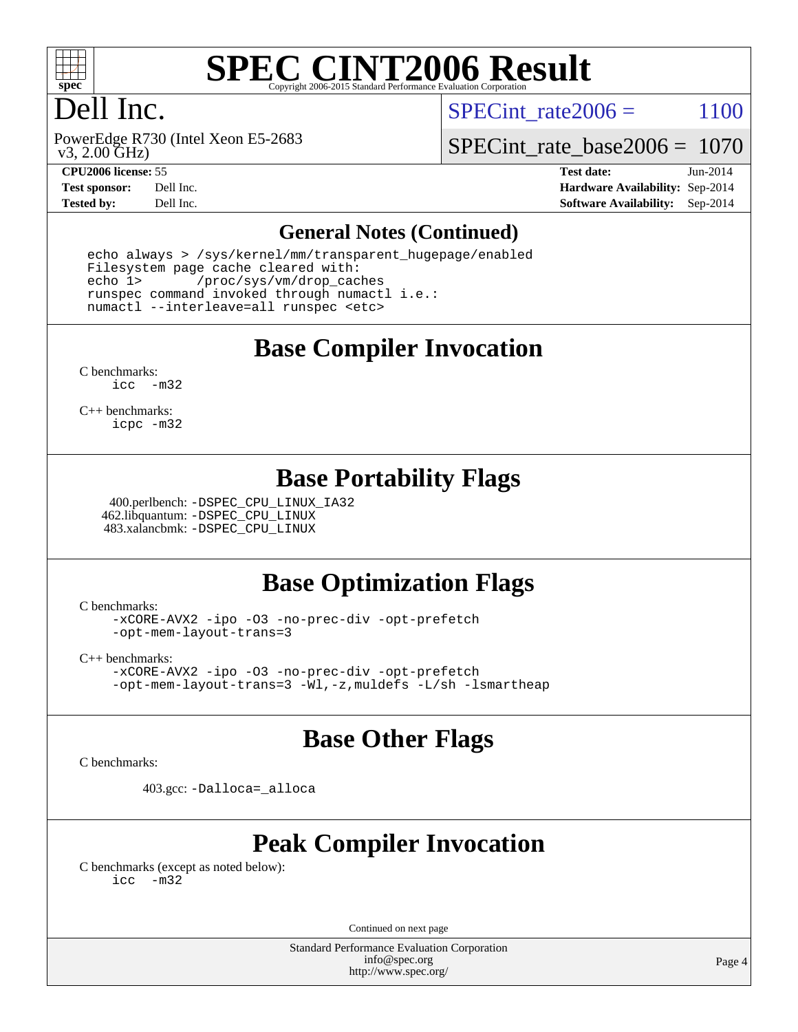

# **[SPEC CINT2006 Result](http://www.spec.org/auto/cpu2006/Docs/result-fields.html#SPECCINT2006Result)**

# Dell Inc.

SPECint rate  $2006 = 1100$ 

 v3, 2.00 GHz) PowerEdge R730 (Intel Xeon E5-2683

[SPECint\\_rate\\_base2006 =](http://www.spec.org/auto/cpu2006/Docs/result-fields.html#SPECintratebase2006) 1070

**[CPU2006 license:](http://www.spec.org/auto/cpu2006/Docs/result-fields.html#CPU2006license)** 55 **[Test date:](http://www.spec.org/auto/cpu2006/Docs/result-fields.html#Testdate)** Jun-2014 **[Test sponsor:](http://www.spec.org/auto/cpu2006/Docs/result-fields.html#Testsponsor)** Dell Inc. **[Hardware Availability:](http://www.spec.org/auto/cpu2006/Docs/result-fields.html#HardwareAvailability)** Sep-2014 **[Tested by:](http://www.spec.org/auto/cpu2006/Docs/result-fields.html#Testedby)** Dell Inc. **[Software Availability:](http://www.spec.org/auto/cpu2006/Docs/result-fields.html#SoftwareAvailability)** Sep-2014

#### **[General Notes \(Continued\)](http://www.spec.org/auto/cpu2006/Docs/result-fields.html#GeneralNotes)**

 echo always > /sys/kernel/mm/transparent\_hugepage/enabled Filesystem page cache cleared with: echo 1> /proc/sys/vm/drop\_caches runspec command invoked through numactl i.e.: numactl --interleave=all runspec <etc>

#### **[Base Compiler Invocation](http://www.spec.org/auto/cpu2006/Docs/result-fields.html#BaseCompilerInvocation)**

[C benchmarks](http://www.spec.org/auto/cpu2006/Docs/result-fields.html#Cbenchmarks): [icc -m32](http://www.spec.org/cpu2006/results/res2014q3/cpu2006-20140909-31367.flags.html#user_CCbase_intel_icc_5ff4a39e364c98233615fdd38438c6f2)

[C++ benchmarks:](http://www.spec.org/auto/cpu2006/Docs/result-fields.html#CXXbenchmarks) [icpc -m32](http://www.spec.org/cpu2006/results/res2014q3/cpu2006-20140909-31367.flags.html#user_CXXbase_intel_icpc_4e5a5ef1a53fd332b3c49e69c3330699)

#### **[Base Portability Flags](http://www.spec.org/auto/cpu2006/Docs/result-fields.html#BasePortabilityFlags)**

 400.perlbench: [-DSPEC\\_CPU\\_LINUX\\_IA32](http://www.spec.org/cpu2006/results/res2014q3/cpu2006-20140909-31367.flags.html#b400.perlbench_baseCPORTABILITY_DSPEC_CPU_LINUX_IA32) 462.libquantum: [-DSPEC\\_CPU\\_LINUX](http://www.spec.org/cpu2006/results/res2014q3/cpu2006-20140909-31367.flags.html#b462.libquantum_baseCPORTABILITY_DSPEC_CPU_LINUX) 483.xalancbmk: [-DSPEC\\_CPU\\_LINUX](http://www.spec.org/cpu2006/results/res2014q3/cpu2006-20140909-31367.flags.html#b483.xalancbmk_baseCXXPORTABILITY_DSPEC_CPU_LINUX)

### **[Base Optimization Flags](http://www.spec.org/auto/cpu2006/Docs/result-fields.html#BaseOptimizationFlags)**

[C benchmarks](http://www.spec.org/auto/cpu2006/Docs/result-fields.html#Cbenchmarks):

[-xCORE-AVX2](http://www.spec.org/cpu2006/results/res2014q3/cpu2006-20140909-31367.flags.html#user_CCbase_f-xAVX2_5f5fc0cbe2c9f62c816d3e45806c70d7) [-ipo](http://www.spec.org/cpu2006/results/res2014q3/cpu2006-20140909-31367.flags.html#user_CCbase_f-ipo) [-O3](http://www.spec.org/cpu2006/results/res2014q3/cpu2006-20140909-31367.flags.html#user_CCbase_f-O3) [-no-prec-div](http://www.spec.org/cpu2006/results/res2014q3/cpu2006-20140909-31367.flags.html#user_CCbase_f-no-prec-div) [-opt-prefetch](http://www.spec.org/cpu2006/results/res2014q3/cpu2006-20140909-31367.flags.html#user_CCbase_f-opt-prefetch) [-opt-mem-layout-trans=3](http://www.spec.org/cpu2006/results/res2014q3/cpu2006-20140909-31367.flags.html#user_CCbase_f-opt-mem-layout-trans_a7b82ad4bd7abf52556d4961a2ae94d5)

[C++ benchmarks:](http://www.spec.org/auto/cpu2006/Docs/result-fields.html#CXXbenchmarks)

[-xCORE-AVX2](http://www.spec.org/cpu2006/results/res2014q3/cpu2006-20140909-31367.flags.html#user_CXXbase_f-xAVX2_5f5fc0cbe2c9f62c816d3e45806c70d7) [-ipo](http://www.spec.org/cpu2006/results/res2014q3/cpu2006-20140909-31367.flags.html#user_CXXbase_f-ipo) [-O3](http://www.spec.org/cpu2006/results/res2014q3/cpu2006-20140909-31367.flags.html#user_CXXbase_f-O3) [-no-prec-div](http://www.spec.org/cpu2006/results/res2014q3/cpu2006-20140909-31367.flags.html#user_CXXbase_f-no-prec-div) [-opt-prefetch](http://www.spec.org/cpu2006/results/res2014q3/cpu2006-20140909-31367.flags.html#user_CXXbase_f-opt-prefetch) [-opt-mem-layout-trans=3](http://www.spec.org/cpu2006/results/res2014q3/cpu2006-20140909-31367.flags.html#user_CXXbase_f-opt-mem-layout-trans_a7b82ad4bd7abf52556d4961a2ae94d5) [-Wl,-z,muldefs](http://www.spec.org/cpu2006/results/res2014q3/cpu2006-20140909-31367.flags.html#user_CXXbase_link_force_multiple1_74079c344b956b9658436fd1b6dd3a8a) [-L/sh -lsmartheap](http://www.spec.org/cpu2006/results/res2014q3/cpu2006-20140909-31367.flags.html#user_CXXbase_SmartHeap_32f6c82aa1ed9c52345d30cf6e4a0499)

#### **[Base Other Flags](http://www.spec.org/auto/cpu2006/Docs/result-fields.html#BaseOtherFlags)**

[C benchmarks](http://www.spec.org/auto/cpu2006/Docs/result-fields.html#Cbenchmarks):

403.gcc: [-Dalloca=\\_alloca](http://www.spec.org/cpu2006/results/res2014q3/cpu2006-20140909-31367.flags.html#b403.gcc_baseEXTRA_CFLAGS_Dalloca_be3056838c12de2578596ca5467af7f3)

# **[Peak Compiler Invocation](http://www.spec.org/auto/cpu2006/Docs/result-fields.html#PeakCompilerInvocation)**

[C benchmarks \(except as noted below\)](http://www.spec.org/auto/cpu2006/Docs/result-fields.html#Cbenchmarksexceptasnotedbelow): [icc -m32](http://www.spec.org/cpu2006/results/res2014q3/cpu2006-20140909-31367.flags.html#user_CCpeak_intel_icc_5ff4a39e364c98233615fdd38438c6f2)

Continued on next page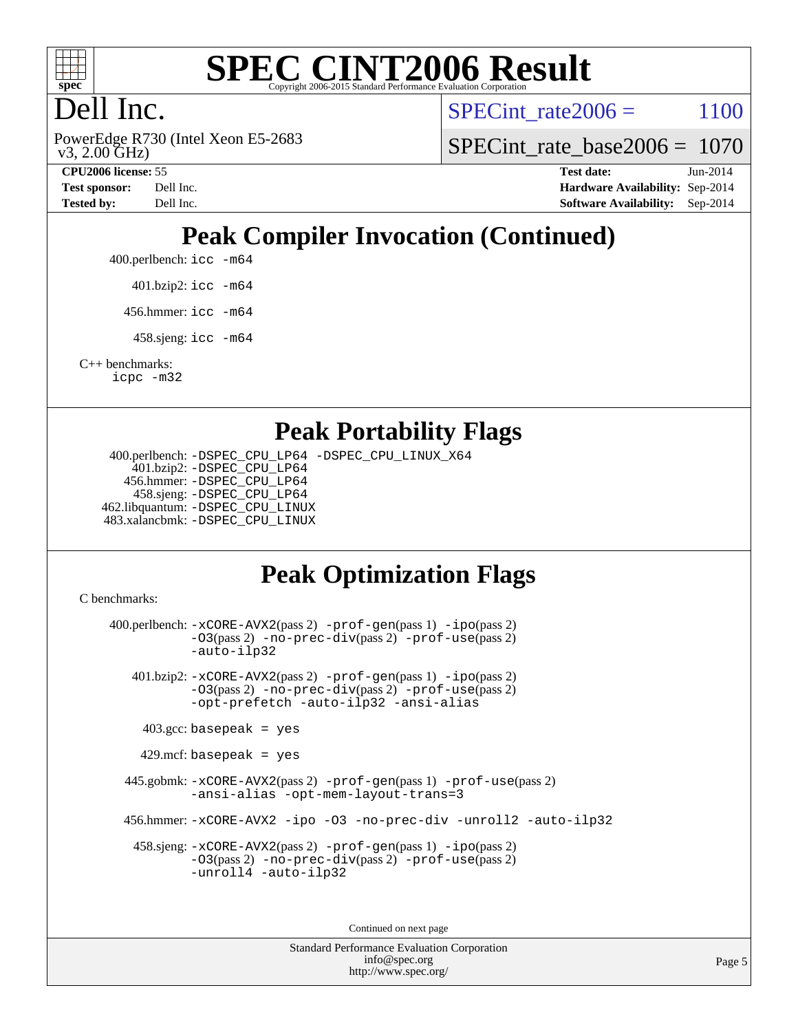

# **[SPEC CINT2006 Result](http://www.spec.org/auto/cpu2006/Docs/result-fields.html#SPECCINT2006Result)**

# Dell Inc.

 v3, 2.00 GHz) PowerEdge R730 (Intel Xeon E5-2683 SPECint rate  $2006 = 1100$ 

[SPECint\\_rate\\_base2006 =](http://www.spec.org/auto/cpu2006/Docs/result-fields.html#SPECintratebase2006) 1070

**[CPU2006 license:](http://www.spec.org/auto/cpu2006/Docs/result-fields.html#CPU2006license)** 55 **[Test date:](http://www.spec.org/auto/cpu2006/Docs/result-fields.html#Testdate)** Jun-2014 **[Test sponsor:](http://www.spec.org/auto/cpu2006/Docs/result-fields.html#Testsponsor)** Dell Inc. **[Hardware Availability:](http://www.spec.org/auto/cpu2006/Docs/result-fields.html#HardwareAvailability)** Sep-2014 **[Tested by:](http://www.spec.org/auto/cpu2006/Docs/result-fields.html#Testedby)** Dell Inc. **[Software Availability:](http://www.spec.org/auto/cpu2006/Docs/result-fields.html#SoftwareAvailability)** Sep-2014

# **[Peak Compiler Invocation \(Continued\)](http://www.spec.org/auto/cpu2006/Docs/result-fields.html#PeakCompilerInvocation)**

400.perlbench: [icc -m64](http://www.spec.org/cpu2006/results/res2014q3/cpu2006-20140909-31367.flags.html#user_peakCCLD400_perlbench_intel_icc_64bit_bda6cc9af1fdbb0edc3795bac97ada53)

401.bzip2: [icc -m64](http://www.spec.org/cpu2006/results/res2014q3/cpu2006-20140909-31367.flags.html#user_peakCCLD401_bzip2_intel_icc_64bit_bda6cc9af1fdbb0edc3795bac97ada53)

456.hmmer: [icc -m64](http://www.spec.org/cpu2006/results/res2014q3/cpu2006-20140909-31367.flags.html#user_peakCCLD456_hmmer_intel_icc_64bit_bda6cc9af1fdbb0edc3795bac97ada53)

458.sjeng: [icc -m64](http://www.spec.org/cpu2006/results/res2014q3/cpu2006-20140909-31367.flags.html#user_peakCCLD458_sjeng_intel_icc_64bit_bda6cc9af1fdbb0edc3795bac97ada53)

[C++ benchmarks:](http://www.spec.org/auto/cpu2006/Docs/result-fields.html#CXXbenchmarks) [icpc -m32](http://www.spec.org/cpu2006/results/res2014q3/cpu2006-20140909-31367.flags.html#user_CXXpeak_intel_icpc_4e5a5ef1a53fd332b3c49e69c3330699)

#### **[Peak Portability Flags](http://www.spec.org/auto/cpu2006/Docs/result-fields.html#PeakPortabilityFlags)**

 400.perlbench: [-DSPEC\\_CPU\\_LP64](http://www.spec.org/cpu2006/results/res2014q3/cpu2006-20140909-31367.flags.html#b400.perlbench_peakCPORTABILITY_DSPEC_CPU_LP64) [-DSPEC\\_CPU\\_LINUX\\_X64](http://www.spec.org/cpu2006/results/res2014q3/cpu2006-20140909-31367.flags.html#b400.perlbench_peakCPORTABILITY_DSPEC_CPU_LINUX_X64) 401.bzip2: [-DSPEC\\_CPU\\_LP64](http://www.spec.org/cpu2006/results/res2014q3/cpu2006-20140909-31367.flags.html#suite_peakCPORTABILITY401_bzip2_DSPEC_CPU_LP64) 456.hmmer: [-DSPEC\\_CPU\\_LP64](http://www.spec.org/cpu2006/results/res2014q3/cpu2006-20140909-31367.flags.html#suite_peakCPORTABILITY456_hmmer_DSPEC_CPU_LP64) 458.sjeng: [-DSPEC\\_CPU\\_LP64](http://www.spec.org/cpu2006/results/res2014q3/cpu2006-20140909-31367.flags.html#suite_peakCPORTABILITY458_sjeng_DSPEC_CPU_LP64) 462.libquantum: [-DSPEC\\_CPU\\_LINUX](http://www.spec.org/cpu2006/results/res2014q3/cpu2006-20140909-31367.flags.html#b462.libquantum_peakCPORTABILITY_DSPEC_CPU_LINUX) 483.xalancbmk: [-DSPEC\\_CPU\\_LINUX](http://www.spec.org/cpu2006/results/res2014q3/cpu2006-20140909-31367.flags.html#b483.xalancbmk_peakCXXPORTABILITY_DSPEC_CPU_LINUX)

# **[Peak Optimization Flags](http://www.spec.org/auto/cpu2006/Docs/result-fields.html#PeakOptimizationFlags)**

[C benchmarks](http://www.spec.org/auto/cpu2006/Docs/result-fields.html#Cbenchmarks):

 400.perlbench: [-xCORE-AVX2](http://www.spec.org/cpu2006/results/res2014q3/cpu2006-20140909-31367.flags.html#user_peakPASS2_CFLAGSPASS2_LDCFLAGS400_perlbench_f-xAVX2_5f5fc0cbe2c9f62c816d3e45806c70d7)(pass 2) [-prof-gen](http://www.spec.org/cpu2006/results/res2014q3/cpu2006-20140909-31367.flags.html#user_peakPASS1_CFLAGSPASS1_LDCFLAGS400_perlbench_prof_gen_e43856698f6ca7b7e442dfd80e94a8fc)(pass 1) [-ipo](http://www.spec.org/cpu2006/results/res2014q3/cpu2006-20140909-31367.flags.html#user_peakPASS2_CFLAGSPASS2_LDCFLAGS400_perlbench_f-ipo)(pass 2) [-O3](http://www.spec.org/cpu2006/results/res2014q3/cpu2006-20140909-31367.flags.html#user_peakPASS2_CFLAGSPASS2_LDCFLAGS400_perlbench_f-O3)(pass 2) [-no-prec-div](http://www.spec.org/cpu2006/results/res2014q3/cpu2006-20140909-31367.flags.html#user_peakPASS2_CFLAGSPASS2_LDCFLAGS400_perlbench_f-no-prec-div)(pass 2) [-prof-use](http://www.spec.org/cpu2006/results/res2014q3/cpu2006-20140909-31367.flags.html#user_peakPASS2_CFLAGSPASS2_LDCFLAGS400_perlbench_prof_use_bccf7792157ff70d64e32fe3e1250b55)(pass 2) [-auto-ilp32](http://www.spec.org/cpu2006/results/res2014q3/cpu2006-20140909-31367.flags.html#user_peakCOPTIMIZE400_perlbench_f-auto-ilp32) 401.bzip2: [-xCORE-AVX2](http://www.spec.org/cpu2006/results/res2014q3/cpu2006-20140909-31367.flags.html#user_peakPASS2_CFLAGSPASS2_LDCFLAGS401_bzip2_f-xAVX2_5f5fc0cbe2c9f62c816d3e45806c70d7)(pass 2) [-prof-gen](http://www.spec.org/cpu2006/results/res2014q3/cpu2006-20140909-31367.flags.html#user_peakPASS1_CFLAGSPASS1_LDCFLAGS401_bzip2_prof_gen_e43856698f6ca7b7e442dfd80e94a8fc)(pass 1) [-ipo](http://www.spec.org/cpu2006/results/res2014q3/cpu2006-20140909-31367.flags.html#user_peakPASS2_CFLAGSPASS2_LDCFLAGS401_bzip2_f-ipo)(pass 2) [-O3](http://www.spec.org/cpu2006/results/res2014q3/cpu2006-20140909-31367.flags.html#user_peakPASS2_CFLAGSPASS2_LDCFLAGS401_bzip2_f-O3)(pass 2) [-no-prec-div](http://www.spec.org/cpu2006/results/res2014q3/cpu2006-20140909-31367.flags.html#user_peakPASS2_CFLAGSPASS2_LDCFLAGS401_bzip2_f-no-prec-div)(pass 2) [-prof-use](http://www.spec.org/cpu2006/results/res2014q3/cpu2006-20140909-31367.flags.html#user_peakPASS2_CFLAGSPASS2_LDCFLAGS401_bzip2_prof_use_bccf7792157ff70d64e32fe3e1250b55)(pass 2) [-opt-prefetch](http://www.spec.org/cpu2006/results/res2014q3/cpu2006-20140909-31367.flags.html#user_peakCOPTIMIZE401_bzip2_f-opt-prefetch) [-auto-ilp32](http://www.spec.org/cpu2006/results/res2014q3/cpu2006-20140909-31367.flags.html#user_peakCOPTIMIZE401_bzip2_f-auto-ilp32) [-ansi-alias](http://www.spec.org/cpu2006/results/res2014q3/cpu2006-20140909-31367.flags.html#user_peakCOPTIMIZE401_bzip2_f-ansi-alias)  $403.\text{gcc: basepeak}$  = yes  $429$ .mcf: basepeak = yes 445.gobmk: [-xCORE-AVX2](http://www.spec.org/cpu2006/results/res2014q3/cpu2006-20140909-31367.flags.html#user_peakPASS2_CFLAGSPASS2_LDCFLAGS445_gobmk_f-xAVX2_5f5fc0cbe2c9f62c816d3e45806c70d7)(pass 2) [-prof-gen](http://www.spec.org/cpu2006/results/res2014q3/cpu2006-20140909-31367.flags.html#user_peakPASS1_CFLAGSPASS1_LDCFLAGS445_gobmk_prof_gen_e43856698f6ca7b7e442dfd80e94a8fc)(pass 1) [-prof-use](http://www.spec.org/cpu2006/results/res2014q3/cpu2006-20140909-31367.flags.html#user_peakPASS2_CFLAGSPASS2_LDCFLAGS445_gobmk_prof_use_bccf7792157ff70d64e32fe3e1250b55)(pass 2) [-ansi-alias](http://www.spec.org/cpu2006/results/res2014q3/cpu2006-20140909-31367.flags.html#user_peakCOPTIMIZE445_gobmk_f-ansi-alias) [-opt-mem-layout-trans=3](http://www.spec.org/cpu2006/results/res2014q3/cpu2006-20140909-31367.flags.html#user_peakCOPTIMIZE445_gobmk_f-opt-mem-layout-trans_a7b82ad4bd7abf52556d4961a2ae94d5) 456.hmmer: [-xCORE-AVX2](http://www.spec.org/cpu2006/results/res2014q3/cpu2006-20140909-31367.flags.html#user_peakCOPTIMIZE456_hmmer_f-xAVX2_5f5fc0cbe2c9f62c816d3e45806c70d7) [-ipo](http://www.spec.org/cpu2006/results/res2014q3/cpu2006-20140909-31367.flags.html#user_peakCOPTIMIZE456_hmmer_f-ipo) [-O3](http://www.spec.org/cpu2006/results/res2014q3/cpu2006-20140909-31367.flags.html#user_peakCOPTIMIZE456_hmmer_f-O3) [-no-prec-div](http://www.spec.org/cpu2006/results/res2014q3/cpu2006-20140909-31367.flags.html#user_peakCOPTIMIZE456_hmmer_f-no-prec-div) [-unroll2](http://www.spec.org/cpu2006/results/res2014q3/cpu2006-20140909-31367.flags.html#user_peakCOPTIMIZE456_hmmer_f-unroll_784dae83bebfb236979b41d2422d7ec2) [-auto-ilp32](http://www.spec.org/cpu2006/results/res2014q3/cpu2006-20140909-31367.flags.html#user_peakCOPTIMIZE456_hmmer_f-auto-ilp32) 458.sjeng: [-xCORE-AVX2](http://www.spec.org/cpu2006/results/res2014q3/cpu2006-20140909-31367.flags.html#user_peakPASS2_CFLAGSPASS2_LDCFLAGS458_sjeng_f-xAVX2_5f5fc0cbe2c9f62c816d3e45806c70d7)(pass 2) [-prof-gen](http://www.spec.org/cpu2006/results/res2014q3/cpu2006-20140909-31367.flags.html#user_peakPASS1_CFLAGSPASS1_LDCFLAGS458_sjeng_prof_gen_e43856698f6ca7b7e442dfd80e94a8fc)(pass 1) [-ipo](http://www.spec.org/cpu2006/results/res2014q3/cpu2006-20140909-31367.flags.html#user_peakPASS2_CFLAGSPASS2_LDCFLAGS458_sjeng_f-ipo)(pass 2) [-O3](http://www.spec.org/cpu2006/results/res2014q3/cpu2006-20140909-31367.flags.html#user_peakPASS2_CFLAGSPASS2_LDCFLAGS458_sjeng_f-O3)(pass 2) [-no-prec-div](http://www.spec.org/cpu2006/results/res2014q3/cpu2006-20140909-31367.flags.html#user_peakPASS2_CFLAGSPASS2_LDCFLAGS458_sjeng_f-no-prec-div)(pass 2) [-prof-use](http://www.spec.org/cpu2006/results/res2014q3/cpu2006-20140909-31367.flags.html#user_peakPASS2_CFLAGSPASS2_LDCFLAGS458_sjeng_prof_use_bccf7792157ff70d64e32fe3e1250b55)(pass 2) [-unroll4](http://www.spec.org/cpu2006/results/res2014q3/cpu2006-20140909-31367.flags.html#user_peakCOPTIMIZE458_sjeng_f-unroll_4e5e4ed65b7fd20bdcd365bec371b81f) [-auto-ilp32](http://www.spec.org/cpu2006/results/res2014q3/cpu2006-20140909-31367.flags.html#user_peakCOPTIMIZE458_sjeng_f-auto-ilp32)

Continued on next page